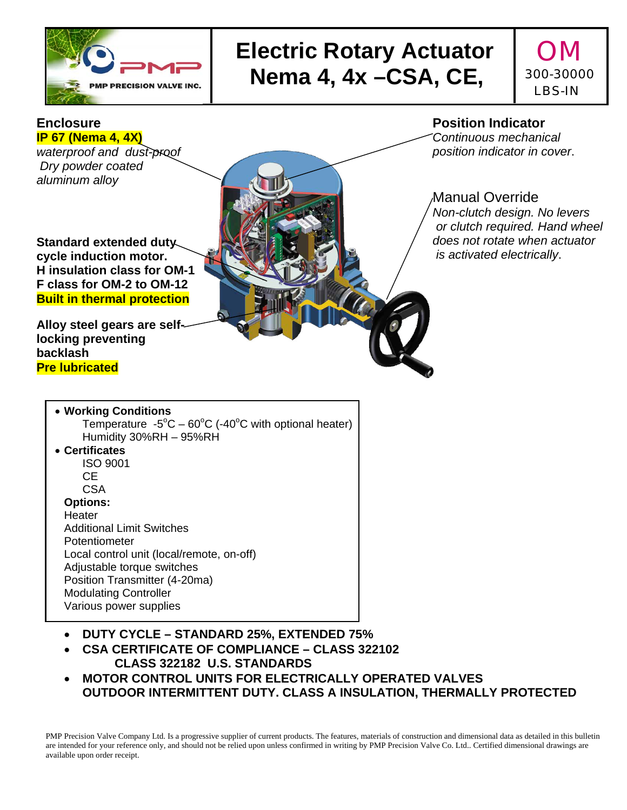

## **Electric Rotary Actuator | OM Ne PRECISION VALVE INC.** Nema 4, 4x –CSA, CE,

## 300-30000 LBS-IN

 **Enclosure IP 67 (Nema 4, 4X)**  *waterproof and dust-proof Dry powder coated* 

*aluminum alloy*

**Standard extended duty cycle induction motor. H insulation class for OM-1 F class for OM-2 to OM-12 Built in thermal protection**

**Alloy steel gears are selflocking preventing backlash Pre lubricated** 

#### **Position Indicator**

*Continuous mechanical position indicator in cover*.

#### Manual Override

*Non-clutch design. No levers or clutch required. Hand wheel does not rotate when actuator is activated electrically*.

#### **Working Conditions** Temperature  $-5^{\circ}$ C  $-60^{\circ}$ C ( $-40^{\circ}$ C with optional heater) Humidity 30%RH – 95%RH

 **Certificates** ISO 9001 CE CSA

#### **Options:**

**Heater** Additional Limit Switches Potentiometer Local control unit (local/remote, on-off) Adjustable torque switches Position Transmitter (4-20ma) Modulating Controller Various power supplies

- **DUTY CYCLE STANDARD 25%, EXTENDED 75%**
- **CSA CERTIFICATE OF COMPLIANCE CLASS 322102 CLASS 322182 U.S. STANDARDS**
- **MOTOR CONTROL UNITS FOR ELECTRICALLY OPERATED VALVES OUTDOOR INTERMITTENT DUTY. CLASS A INSULATION, THERMALLY PROTECTED**

PMP Precision Valve Company Ltd. Is a progressive supplier of current products. The features, materials of construction and dimensional data as detailed in this bulletin are intended for your reference only, and should not be relied upon unless confirmed in writing by PMP Precision Valve Co. Ltd.. Certified dimensional drawings are available upon order receipt.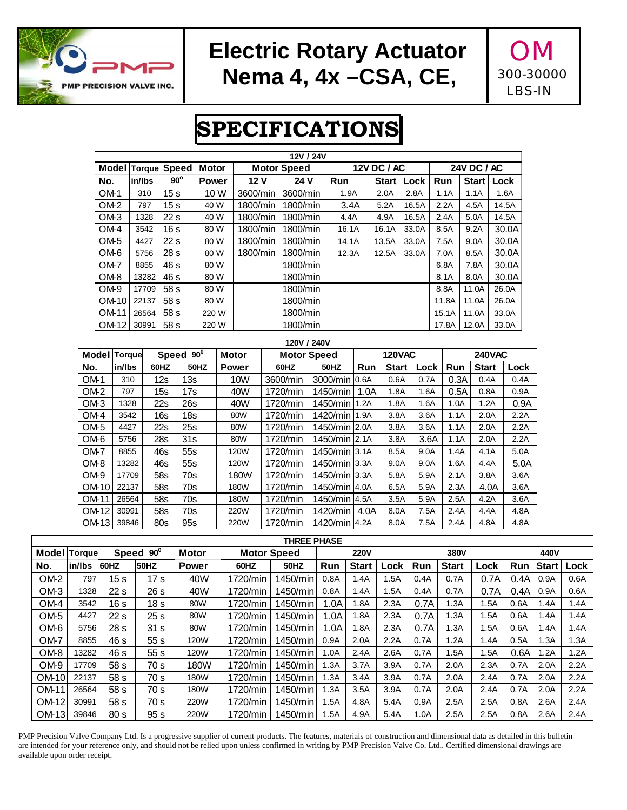

### **Electric Rotary Actuator | OM Nema 4, 4x –CSA, CE,**

300-30000 LBS-IN

## **SPECIFICATIONS**

|              |                              |        |                 |                 |              |                                    |  | 12V / 24V          |  |               |               |              |       |      |                    |               |      |       |
|--------------|------------------------------|--------|-----------------|-----------------|--------------|------------------------------------|--|--------------------|--|---------------|---------------|--------------|-------|------|--------------------|---------------|------|-------|
|              | <b>Model</b><br>Torque Speed |        |                 |                 | <b>Motor</b> |                                    |  | <b>Motor Speed</b> |  | 12V DC / AC   |               |              |       |      | <b>24V DC / AC</b> |               |      |       |
| No.          |                              | in/lbs | $90^\circ$      | <b>Power</b>    |              | 12 V                               |  | 24 V               |  | Run           |               | <b>Start</b> | Lock  |      | Run                | <b>Start</b>  | Lock |       |
| OM-1         |                              | 310    | 15 <sub>s</sub> | 10 W            |              | 3600/min                           |  | 3600/min           |  | 1.9A          |               | 2.0A         | 2.8A  |      | 1.1A               | 1.1A          |      | 1.6A  |
| OM-2         |                              | 797    | 15 <sub>s</sub> | 40 W            |              | 1800/min                           |  | 1800/min           |  | 3.4A          |               | 5.2A         | 16.5A |      | 2.2A               | 4.5A          |      | 14.5A |
| OM-3         |                              | 1328   | 22s             | 40 W            |              | 1800/min                           |  | 1800/min           |  | 4.4A          |               | 4.9A         | 16.5A |      | 2.4A               | 5.0A          |      | 14.5A |
| OM-4         |                              | 3542   | 16s             | 80 W            |              | 1800/min                           |  | 1800/min           |  | 16.1A         |               | 16.1A        | 33.0A |      | 8.5A               | 9.2A          |      | 30.0A |
| OM-5         |                              | 4427   | 22s             | 80 W            |              | 1800/min                           |  | 1800/min           |  | 14.1A         |               | 13.5A        | 33.0A |      | 7.5A               | 9.0A          |      | 30.0A |
| OM-6         |                              | 5756   | 28 s            | 80 W            |              | 1800/min                           |  | 1800/min           |  | 12.3A         |               | 12.5A        | 33.0A |      | 7.0A               | 8.5A          |      | 30.0A |
| OM-7         |                              | 8855   | 46 s            | 80 W            |              |                                    |  | 1800/min           |  |               |               |              |       |      | 6.8A               | 7.8A          |      | 30.0A |
| OM-8         |                              | 13282  | 46 s            | 80 W            |              |                                    |  | 1800/min           |  |               |               |              |       |      | 8.1A               | 8.0A          |      | 30.0A |
| OM-9         |                              | 17709  | 58 s            | 80 W            |              |                                    |  | 1800/min           |  |               |               |              |       |      | 8.8A               | 11.0A         |      | 26.0A |
|              | OM-10                        | 22137  | 58 s            | 80 W            |              |                                    |  | 1800/min           |  |               |               |              |       |      | 11.8A              | 11.0A         |      | 26.0A |
|              | OM-11                        | 26564  | 58 s            | 220 W           |              |                                    |  | 1800/min           |  |               |               |              |       |      | 15.1A              | 11.0A         |      | 33.0A |
|              | OM-12                        | 30991  | 58 s            | 220 W           |              |                                    |  | 1800/min           |  |               |               |              |       |      | 17.8A              | 12.0A         |      | 33.0A |
|              |                              |        |                 |                 |              |                                    |  | 120V / 240V        |  |               |               |              |       |      |                    |               |      |       |
| Model Torque |                              |        | Speed 90°       |                 |              | <b>Motor</b><br><b>Motor Speed</b> |  |                    |  |               | <b>120VAC</b> |              |       |      |                    | <b>240VAC</b> |      |       |
| No.          | in/lbs                       |        | 60HZ            | <b>50HZ</b>     |              | <b>Power</b>                       |  | 60HZ               |  | <b>50HZ</b>   | Run           | <b>Start</b> |       | Lock | Run                | <b>Start</b>  |      | Lock  |
| OM-1         | 310                          |        | 12s             | 13s             |              | <b>10W</b>                         |  | 3600/min           |  | 3000/min      | 0.6A          | 0.6A         |       | 0.7A | 0.3A               | 0.4A          |      | 0.4A  |
| $OM-2$       | 797                          |        | 15s             | 17s             |              | 40W                                |  | 1720/min           |  | 1450/min      | 1.0A          | 1.8A         |       | 1.6A | 0.5A               | 0.8A          |      | 0.9A  |
| OM-3         | 1328                         |        | 22s             | 26s             |              | 40W                                |  | 1720/min           |  | 1450/min      | 1.2A          | 1.8A         |       | 1.6A | 1.0A               | 1.2A          |      | 0.9A  |
| OM-4         | 3542                         |        | 16s             | 18 <sub>s</sub> |              | 80W                                |  | 1720/min           |  | 1420/min      | 1.9A          | 3.8A         |       | 3.6A | 1.1A               | 2.0A          |      | 2.2A  |
| OM-5         | 4427                         |        | 22s             | 25s             |              | 80W                                |  | 1720/min           |  | 1450/min 2.0A |               | 3.8A         |       | 3.6A | 1.1A               | 2.0A          |      | 2.2A  |
| OM-6         | 5756                         |        | 28s             | 31s             |              | 80W                                |  | 1720/min           |  | 1450/min 2.1A |               | 3.8A         |       | 3.6A | 1.1A               | 2.0A          |      | 2.2A  |
| OM-7         | 8855                         |        | 46s             | 55s             |              | 120W                               |  | 1720/min           |  | 1450/min 3.1A |               | 8.5A         |       | 9.0A | 1.4A               | 4.1A          |      | 5.0A  |
| OM-8         | 13282                        |        | 46s             | 55s             |              | 120W                               |  | 1720/min           |  | 1450/min      | 3.3A          | 9.0A         |       | 9.0A | 1.6A               | 4.4A          |      | 5.0A  |
| OM-9         | 17709                        |        | 58s             | 70s             |              | 180W                               |  | 1720/min           |  | 1450/min      | 3.3A          | 5.8A         |       | 5.9A | 2.1A               | 3.8A          |      | 3.6A  |
| OM-10        | 22137                        |        | 58s             | 70s             |              | 180W                               |  | 1720/min           |  | 1450/min 4.0A |               | 6.5A         |       | 5.9A | 2.3A               |               | 4.0A | 3.6A  |
| OM-11        | 26564                        |        | 58s             | 70s             |              | 180W                               |  | 1720/min           |  | 1450/min      | 4.5A          | 3.5A         |       | 5.9A | 2.5A               | 4.2A          |      | 3.6A  |
| OM-12        | 30991                        |        | 58s             | 70s             |              | 220W                               |  | 1720/min           |  | 1420/min      | 4.0A          | 8.0A         | 7.5A  |      | 2.4A               | 4.4A          |      | 4.8A  |
| OM-13        | 39846                        |        | 80s             | 95s             |              | 220W                               |  | 1720/min           |  | 1420/min 4.2A |               | 8.0A         |       | 7.5A | 2.4A               | 4.8A          |      | 4.8A  |

|                 | <b>THREE PHASE</b>  |                 |                 |                    |          |             |      |              |      |      |              |      |            |              |      |
|-----------------|---------------------|-----------------|-----------------|--------------------|----------|-------------|------|--------------|------|------|--------------|------|------------|--------------|------|
| Model           | Speed 90°<br>Torque |                 | <b>Motor</b>    | <b>Motor Speed</b> |          | <b>220V</b> |      |              | 380V |      |              | 440V |            |              |      |
| No.             | in/lbs              | <b>I</b> 60HZ   | 50HZ            | Power              | 60HZ     | <b>50HZ</b> | Run  | <b>Start</b> | Lock | Run  | <b>Start</b> | Lock | <b>Run</b> | <b>Start</b> | Lock |
| OM <sub>2</sub> | 797                 | 15 s            | 17 <sub>s</sub> | 40W                | 1720/min | 1450/min    | 0.8A | 1.4A         | 1.5A | 0.4A | 0.7A         | 0.7A | 0.4A       | 0.9A         | 0.6A |
| OM <sub>3</sub> | 1328                | 22 <sub>s</sub> | 26 s            | 40W                | 1720/min | 1450/min    | 0.8A | 1.4A         | 1.5A | 0.4A | 0.7A         | 0.7A | 0.4A       | 0.9A         | 0.6A |
| OM-4            | 3542                | 16 s            | 18 <sub>s</sub> | 80W                | 1720/min | 1450/min    | 1.0A | 1.8A         | 2.3A | 0.7A | 1.3A         | 1.5A | 0.6A       | 1.4A         | 1.4A |
| OM <sub>5</sub> | 4427                | 22 <sub>s</sub> | 25 <sub>s</sub> | 80W                | 1720/min | 1450/min    | 1.0A | 1.8A         | 2.3A | 0.7A | 1.3A         | 1.5A | 0.6A       | 1.4A         | 1.4A |
| OM-6            | 5756                | 28 <sub>s</sub> | 31 <sub>s</sub> | 80W                | 1720/min | 1450/min    | 1.0A | 1.8A         | 2.3A | 0.7A | 1.3A         | 1.5A | 0.6A       | 1.4A         | 1.4A |
| OM-7            | 8855                | 46 s            | 55s             | 120W               | 1720/min | 1450/min    | 0.9A | 2.0A         | 2.2A | 0.7A | .2A          | 1.4A | 0.5A       | 1.3A         | 1.3A |
| OM-8            | 13282               | 46 s            | 55s             | 120W               | 1720/min | 1450/min    | 1.0A | 2.4A         | 2.6A | 0.7A | .5A          | 1.5A | 0.6A       | 1.2A         | 1.2A |
| OM-9            | 17709               | 58 s            | 70 s            | 180W               | 1720/min | $1450/m$ in | 1.3A | 3.7A         | 3.9A | 0.7A | 2.0A         | 2.3A | 0.7A       | 2.0A         | 2.2A |
| OM-10           | 22137               | 58 s            | 70 s            | 180W               | 1720/min | 1450/min    | 1.3A | 3.4A         | 3.9A | 0.7A | 2.0A         | 2.4A | 0.7A       | 2.0A         | 2.2A |
| OM-11           | 26564               | 58 s            | 70 s            | 180W               | 1720/min | 1450/min    | 1.3A | 3.5A         | 3.9A | 0.7A | 2.0A         | 2.4A | 0.7A       | 2.0A         | 2.2A |
| OM-12           | 30991               | 58 s            | 70 s            | 220W               | 1720/min | 1450/min    | 1.5A | 4.8A         | 5.4A | 0.9A | 2.5A         | 2.5A | 0.8A       | 2.6A         | 2.4A |
| $OM-13$         | 39846               | 80 <sub>s</sub> | 95 <sub>s</sub> | 220W               | 1720/min | 1450/min    | 1.5A | 4.9A         | 5.4A | 1.0A | 2.5A         | 2.5A | 0.8A       | 2.6A         | 2.4A |

PMP Precision Valve Company Ltd. Is a progressive supplier of current products. The features, materials of construction and dimensional data as detailed in this bulletin are intended for your reference only, and should not be relied upon unless confirmed in writing by PMP Precision Valve Co. Ltd.. Certified dimensional drawings are available upon order receipt.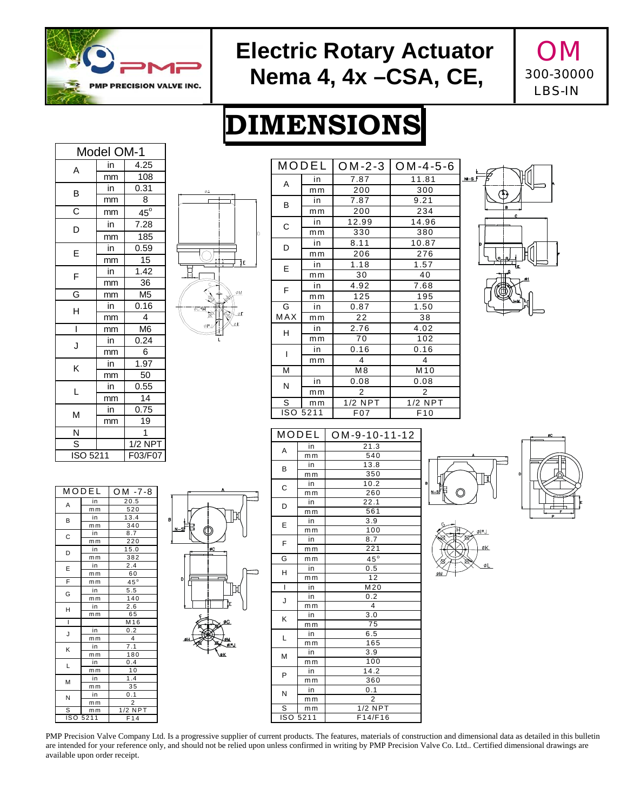

### **Electric Rotary Actuator | OM Nema 4, 4x –CSA, CE,**



# **DIMENSIONS**

| Model OM-1            |                          |                 |  |  |  |  |
|-----------------------|--------------------------|-----------------|--|--|--|--|
| A                     | in                       | 4.25            |  |  |  |  |
|                       | mm                       | 108             |  |  |  |  |
| B                     | in                       | 0.31            |  |  |  |  |
|                       | mm                       | 8               |  |  |  |  |
| $\overline{\text{c}}$ | mm                       | $45^\circ$      |  |  |  |  |
| D                     | in                       | 7.28            |  |  |  |  |
|                       | mm                       | 185             |  |  |  |  |
| E                     | in                       | 0.59            |  |  |  |  |
|                       | mm                       | 15              |  |  |  |  |
| F                     | in                       | 1.42            |  |  |  |  |
|                       | mm                       | 36              |  |  |  |  |
| G                     | mm                       | M <sub>5</sub>  |  |  |  |  |
| H                     | in                       | 0.16            |  |  |  |  |
|                       | mm                       | 4               |  |  |  |  |
| Ī                     | mm                       | M6              |  |  |  |  |
| J                     | in                       | 0.24            |  |  |  |  |
|                       | mm                       | 6               |  |  |  |  |
| Κ                     | in                       | 1.97            |  |  |  |  |
|                       | mm                       | $\overline{50}$ |  |  |  |  |
| L                     | $\overline{\mathsf{in}}$ | 0.55            |  |  |  |  |
|                       | mm                       | 14              |  |  |  |  |
| М                     | Ϊn                       | 0.75            |  |  |  |  |
|                       | mm                       | 19              |  |  |  |  |
| Ñ                     |                          | 1               |  |  |  |  |
| S                     |                          | 1/2 NPT         |  |  |  |  |
| ISO 5211              |                          | F03/F07         |  |  |  |  |



|     | MODEL          | $OM-2-3$       | $LOM-4-5-6$     |  |  |  |
|-----|----------------|----------------|-----------------|--|--|--|
| A   | in             | 7.87           | 11.81           |  |  |  |
|     | m <sub>m</sub> | 200            | 300             |  |  |  |
| B   | in             | 7.87           | 9.21            |  |  |  |
|     | mm             | 200            | 234             |  |  |  |
| C   | in             | 12.99          | 14.96           |  |  |  |
|     | mm             | 330            | 380             |  |  |  |
| D   | in             | 8.11           | 10.87           |  |  |  |
|     | mm             | 206            | 276             |  |  |  |
| E   | in             | 1.18           | 1.57            |  |  |  |
|     | m <sub>m</sub> | 30             | 40              |  |  |  |
| F   | in             | 4.92           | 7.68            |  |  |  |
|     | mm             | 125            | 195             |  |  |  |
| G   | in             | 0.87           | 1.50            |  |  |  |
| MAX | mm             | 22             | 38              |  |  |  |
| H   | in             | 2.76           | 4.02            |  |  |  |
|     | mm             | 70             | 102             |  |  |  |
| I   | in             | 0.16           | 0.16            |  |  |  |
|     | mm             | 4              | 4               |  |  |  |
| M   |                | M <sub>8</sub> | M <sub>10</sub> |  |  |  |
| N   | in             | 0.08           | 0.08            |  |  |  |
|     | mm             | $\overline{2}$ | 2               |  |  |  |
| S   | m <sub>m</sub> | $1/2$ NPT      | $1/2$ NPT       |  |  |  |
|     | ISO 5211       | F07            | F10             |  |  |  |



|   | MODEL          | $OM - 7 - 8$     |  |  |  |  |  |
|---|----------------|------------------|--|--|--|--|--|
| A | in             | 20.5             |  |  |  |  |  |
|   | mm             | 520              |  |  |  |  |  |
| B | in             | 13.4             |  |  |  |  |  |
|   | mm             | 340              |  |  |  |  |  |
| С | in             | 8.7              |  |  |  |  |  |
|   | m <sub>m</sub> | 220              |  |  |  |  |  |
| D | in             | 15.0             |  |  |  |  |  |
|   | mm             | 382              |  |  |  |  |  |
| E | in             | 2.4              |  |  |  |  |  |
|   | mm             | 60               |  |  |  |  |  |
| F | mm             | $45^\circ$       |  |  |  |  |  |
| G | in             | 5.5              |  |  |  |  |  |
|   | mm             | 140              |  |  |  |  |  |
| H | in             | 2.6              |  |  |  |  |  |
|   | mm             | 65               |  |  |  |  |  |
| Ï |                | M16              |  |  |  |  |  |
| J | in             | 0.2              |  |  |  |  |  |
|   | mm             | 4                |  |  |  |  |  |
| K | in             | 7.1              |  |  |  |  |  |
|   | mm             | 180              |  |  |  |  |  |
| г | in             | 0.4              |  |  |  |  |  |
|   | mm             | 10               |  |  |  |  |  |
| M | in             | 1.4              |  |  |  |  |  |
|   | mm             | 35               |  |  |  |  |  |
| N | in             | $\overline{0.1}$ |  |  |  |  |  |
|   | mm             | $\overline{2}$   |  |  |  |  |  |
| s | mm             | $1/2$ NPT        |  |  |  |  |  |
|   | ISO 5211       | F14              |  |  |  |  |  |



















PMP Precision Valve Company Ltd. Is a progressive supplier of current products. The features, materials of construction and dimensional data as detailed in this bulletin are intended for your reference only, and should not be relied upon unless confirmed in writing by PMP Precision Valve Co. Ltd.. Certified dimensional drawings are available upon order receipt.